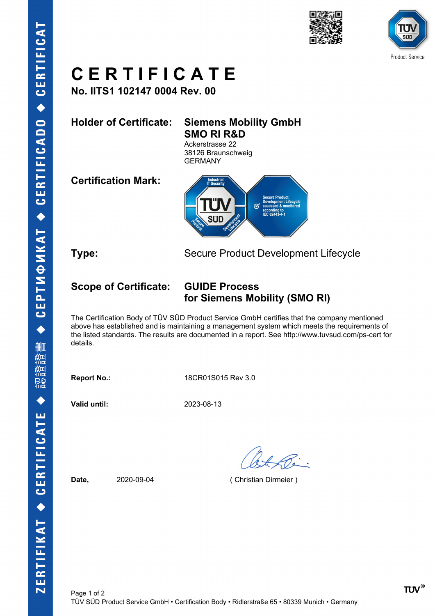



**No. IITS1 102147 0004 Rev. 00**

**Holder of Certificate: Siemens Mobility GmbH SMO RI R&D**

Ackerstrasse 22 38126 Braunschweig GERMANY

**Certification Mark:**



**Type:** Secure Product Development Lifecycle

## **Scope of Certificate: GUIDE Process for Siemens Mobility (SMO RI)**

The Certification Body of TÜV SÜD Product Service GmbH certifies that the company mentioned above has established and is maintaining a management system which meets the requirements of the listed standards. The results are documented in a report. See http://www.tuvsud.com/ps-cert for details.

**Report No.:** 18CR01S015 Rev 3.0

**Valid until:** 2023-08-13

**Date,** 2020-09-04 ( Christian Dirmeier )